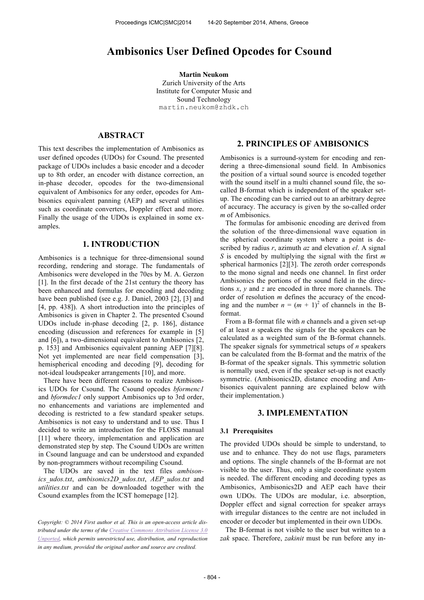# **Ambisonics User Defined Opcodes for Csound**

**Martin Neukom** Zurich University of the Arts Institute for Computer Music and Sound Technology martin.neukom@zhdk.ch

# **ABSTRACT**

This text describes the implementation of Ambisonics as user defined opcodes (UDOs) for Csound. The presented package of UDOs includes a basic encoder and a decoder up to 8th order, an encoder with distance correction, an in-phase decoder, opcodes for the two-dimensional equivalent of Ambisonics for any order, opcodes for Ambisonics equivalent panning (AEP) and several utilities such as coordinate converters, Doppler effect and more. Finally the usage of the UDOs is explained in some examples.

# **1. INTRODUCTION**

Ambisonics is a technique for three-dimensional sound recording, rendering and storage. The fundamentals of Ambisonics were developed in the 70es by M. A. Gerzon [1]. In the first decade of the 21st century the theory has been enhanced and formulas for encoding and decoding have been published (see e.g. J. Daniel, 2003 [2], [3] and [4, pp. 438]). A short introduction into the principles of Ambisonics is given in Chapter 2. The presented Csound UDOs include in-phase decoding [2, p. 186], distance encoding (discussion and references for example in [5] and [6]), a two-dimensional equivalent to Ambisonics [2, p. 153] and Ambisonics equivalent panning AEP [7][8]. Not yet implemented are near field compensation [3], hemispherical encoding and decoding [9], decoding for not-ideal loudspeaker arrangements [10], and more.

 There have been different reasons to realize Ambisonics UDOs for Csound. The Csound opcodes *bformenc1* and *bformdec1* only support Ambisonics up to 3rd order, no enhancements and variations are implemented and decoding is restricted to a few standard speaker setups. Ambisonics is not easy to understand and to use. Thus I decided to write an introduction for the FLOSS manual [11] where theory, implementation and application are demonstrated step by step. The Csound UDOs are written in Csound language and can be understood and expanded by non-programmers without recompiling Csound.

 The UDOs are saved in the text files *ambisonics\_udos.txt*, *ambisonics2D\_udos.txt*, *AEP\_udos.txt* and *utilities.txt* and can be downloaded together with the Csound examples from the ICST homepage [12].

# **2. PRINCIPLES OF AMBISONICS**

Ambisonics is a surround-system for encoding and rendering a three-dimensional sound field. In Ambisonics the position of a virtual sound source is encoded together with the sound itself in a multi channel sound file, the socalled B-format which is independent of the speaker setup. The encoding can be carried out to an arbitrary degree of accuracy. The accuracy is given by the so-called order *m* of Ambisonics.

 The formulas for ambisonic encoding are derived from the solution of the three-dimensional wave equation in the spherical coordinate system where a point is described by radius *r*, azimuth *az* and elevation *el*. A signal *S* is encoded by multiplying the signal with the first *m* spherical harmonics [2][3]. The zeroth order corresponds to the mono signal and needs one channel. In first order Ambisonics the portions of the sound field in the directions *x*, *y* and *z* are encoded in three more channels. The order of resolution *m* defines the accuracy of the encoding and the number  $n = (m + 1)^2$  of channels in the Bformat.

 From a B-format file with *n* channels and a given set-up of at least *n* speakers the signals for the speakers can be calculated as a weighted sum of the B-format channels. The speaker signals for symmetrical setups of *n* speakers can be calculated from the B-format and the matrix of the B-format of the speaker signals. This symmetric solution is normally used, even if the speaker set-up is not exactly symmetric. (Ambisonics2D, distance encoding and Ambisonics equivalent panning are explained below with their implementation.)

# **3. IMPLEMENTATION**

#### **3.1 Prerequisites**

The provided UDOs should be simple to understand, to use and to enhance. They do not use flags, parameters and options. The single channels of the B-format are not visible to the user. Thus, only a single coordinate system is needed. The different encoding and decoding types as Ambisonics, Ambisonics2D and AEP each have their own UDOs. The UDOs are modular, i.e. absorption, Doppler effect and signal correction for speaker arrays with irregular distances to the centre are not included in encoder or decoder but implemented in their own UDOs.

 The B-format is not visible to the user but written to a *zak* space. Therefore, *zakinit* must be run before any in-

*Copyright: © 2014 First author et al. This is an open-access article distributed under the terms of the Creative Commons Attribution License 3.0 Unported, which permits unrestricted use, distribution, and reproduction in any medium, provided the original author and source are credited.*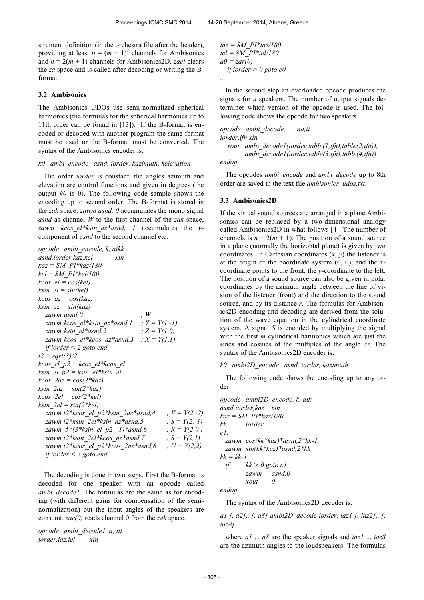strument definition (in the orchestra file after the header), providing at least  $n = (m + 1)^2$  channels for Ambisonics and  $n = 2(m + 1)$  channels for Ambisonics2D. *zacl* clears the *za* space and is called after decoding or writing the Bformat.

# **3.2 Ambisonics**

The Ambisonics UDOs use semi-normalized spherical harmonics (the formulas for the spherical harmonics up to 11th order can be found in [13]). If the B-format is encoded or decoded with another program the same format must be used or the B-format must be converted. The syntax of the Ambisonics encoder is:

#### *k0 ambi\_encode asnd, iorder, kazimuth, kelevation*

 The order *iorder* is constant, the angles azimuth and elevation are control functions and given in degrees (the output *k0* is 0). The following code sample shows the encoding up to second order. The B-format is stored in the *zak* space: *zawm asnd, 0* accumulates the mono signal *asnd* as channel *W* to the first channel of the *zak* space, *zawm kcos\_el\*ksin\_az\*asnd, 1* accumulates the *y*component of *asnd* to the second channel etc.

| opcode ambi encode, k, aikk                         |                  |
|-----------------------------------------------------|------------------|
| asnd.iorder.kaz.kel<br>xin                          |                  |
| $kaz = \frac{SM}{PI*kaz}/180$                       |                  |
| $kel = SM$ $PI*kel/180$                             |                  |
| $kcos$ el = $cos(kel)$                              |                  |
| $k\sin$ el = $sin(kel)$                             |                  |
| $k\cos\ az = \cos(kaz)$                             |                  |
| $ksin$ $az = sin(kaz)$                              |                  |
| $\cdot$ W<br>zawm asnd,0                            |                  |
| zawm kcos el*ksin az*asnd, l ; $Y = Y(1, -1)$       |                  |
| ; $Z = Y(1,0)$<br>zawm ksin el*asnd,2               |                  |
| zawm kcos el*kcos az*asnd,3 ; $X = Y(1,1)$          |                  |
| if iorder $\leq$ 2 goto end                         |                  |
| $i2 = sqrt(3)/2$                                    |                  |
| kcos el p2 = kcos el*kcos el                        |                  |
| ksin el p2 = ksin el*ksin el                        |                  |
| $k\cos 2az = \cos(2*kaz)$                           |                  |
| $ksin$ $2az = sin(2*kaz)$                           |                  |
| $k\cos 2el = \cos(2*kel)$                           |                  |
| $k\sin 2el = \sin(2 \cdot kel)$                     |                  |
| zawm i2*kcos el p2*ksin 2az*asnd,4 ; $V = Y(2, -2)$ |                  |
| zawm i2*ksin 2el*ksin az*asnd,5                     | ; $S = Y(2, -1)$ |
| zawm .5*(3*ksin el p2 - 1)*asnd,6 $: R = Y(2,0)$    |                  |
| zawm i2*ksin 2el*kcos az*asnd,7                     | ; $S = Y(2, I)$  |
| zawm i2*kcos_el_p2*kcos_2az*asnd,8 ; $U = Y(2,2)$   |                  |
| if iorder $\leq$ 3 goto end                         |                  |
|                                                     |                  |
|                                                     |                  |

 The decoding is done in two steps. First the B-format is decoded for one speaker with an opcode called *ambi\_decode1*. The formulas are the same as for encoding (with different gains for compensation of the seminormalization) but the input angles of the speakers are constant. *zar(0)* reads channel 0 from the *zak* space.

*opcode ambi\_decode1, a, iii iorder,iaz,iel xin*

```
iaz = $M_PI*iaz/180
iel = $M_PI*iel/180
a0 = zar(0)
   if iorder > 0 goto c0
```
*...*

 In the second step an overloaded opcode produces the signals for *n* speakers. The number of output signals determines which version of the opcode is used. The following code shows the opcode for two speakers.

*opcode ambi\_decode, aa,ii iorder,ifn xin xout ambi\_decode1(iorder,table(1,ifn),table(2,ifn)), ambi\_decode1(iorder,table(3,ifn),table(4,ifn)) endop*

 The opcodes *ambi\_encode* and *ambi\_decode* up to 8th order are saved in the text file *ambisonics\_udos.txt*.

### **3.3 Ambisonics2D**

If the virtual sound sources are arranged in a plane Ambisonics can be replaced by a two-dimensional analogy called Ambisonics2D in what follows [4]. The number of channels is  $n = 2(m + 1)$ . The position of a sound source in a plane (normally the horizontal plane) is given by two coordinates. In Cartesian coordinates (*x*, *y*) the listener is at the origin of the coordinate system (0, 0), and the *x*coordinate points to the front, the *y*-coordinate to the left. The position of a sound source can also be given in polar coordinates by the azimuth angle between the line of vision of the listener (front) and the direction to the sound source, and by its distance *r*. The formulas for Ambisonics2D encoding and decoding are derived from the solution of the wave equation in the cylindrical coordinate system. A signal *S* is encoded by multiplying the signal with the first *m* cylindrical harmonics which are just the sines and cosines of the multiples of the angle *az*. The syntax of the Ambisonics2D encoder is:

#### *k0 ambi2D\_encode asnd, iorder, kazimuth*

 The following code shows the encoding up to any order.

*opcode ambi2D\_encode, k, aik asnd,iorder,kaz xin kaz = \$M\_PI\*kaz/180 kk iorder c1: zawm cos(kk\*kaz)\*asnd,2\*kk-1 zawm sin(kk\*kaz)\*asnd,2\*kk kk = kk-1 if kk > 0 goto c1 zawm asnd,0 xout 0*

*endop*

The syntax of the Ambisonics2D decoder is:

*a1 [, a2]...[, a8] ambi2D\_decode iorder, iaz1 [, iaz2]...[, iaz8]*

 where *a1* ... *a8* are the speaker signals and *iaz1* ... *iaz8* are the azimuth angles to the loudspeakers. The formulas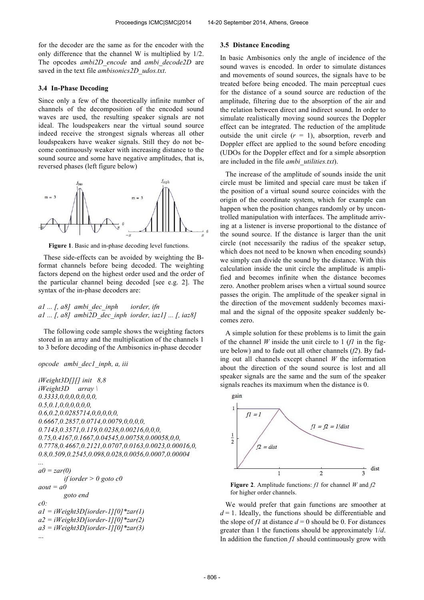for the decoder are the same as for the encoder with the only difference that the channel W is multiplied by 1/2. The opcodes *ambi2D\_encode* and *ambi\_decode2D* are saved in the text file *ambisonics2D\_udos.txt*.

### **3.4 In-Phase Decoding**

Since only a few of the theoretically infinite number of channels of the decomposition of the encoded sound waves are used, the resulting speaker signals are not ideal. The loudspeakers near the virtual sound source indeed receive the strongest signals whereas all other loudspeakers have weaker signals. Still they do not become continuously weaker with increasing distance to the sound source and some have negative amplitudes, that is, reversed phases (left figure below)



**Figure 1**. Basic and in-phase decoding level functions.

 These side-effects can be avoided by weighting the Bformat channels before being decoded. The weighting factors depend on the highest order used and the order of the particular channel being decoded [see e.g. 2]. The syntax of the in-phase decoders are:

*a1 ... [, a8] ambi\_dec\_inph iorder, ifn a1 ... [, a8] ambi2D\_dec\_inph iorder, iaz1] ... [, iaz8]*

 The following code sample shows the weighting factors stored in an array and the multiplication of the channels 1 to 3 before decoding of the Ambisonics in-phase decoder

### *opcode ambi\_dec1\_inph, a, iii*

```
iWeight3D[][] init 8,8
iWeight3D array \
0.3333,0,0,0,0,0,0,0,
0.5,0.1,0,0,0,0,0,0,
0.6,0.2,0.0285714,0,0,0,0,0,
0.6667,0.2857,0.0714,0.0079,0,0,0,0,
0.7143,0.3571,0.119,0.0238,0.00216,0,0,0,
0.75,0.4167,0.1667,0.04545,0.00758,0.00058,0,0,
0.7778,0.4667,0.2121,0.0707,0.0163,0.0023,0.00016,0,
0.8,0.509,0.2545,0.098,0.028,0.0056,0.0007,0.00004
```
*...*  $a0 = \frac{zar(0)}{2a}$ *if iorder > 0 goto c0 aout = a0 goto end c0: a1 = iWeight3D[iorder-1][0]\*zar(1) a2 = iWeight3D[iorder-1][0]\*zar(2) a3 = iWeight3D[iorder-1][0]\*zar(3)* ...

#### **3.5 Distance Encoding**

In basic Ambisonics only the angle of incidence of the sound waves is encoded. In order to simulate distances and movements of sound sources, the signals have to be treated before being encoded. The main perceptual cues for the distance of a sound source are reduction of the amplitude, filtering due to the absorption of the air and the relation between direct and indirect sound. In order to simulate realistically moving sound sources the Doppler effect can be integrated. The reduction of the amplitude outside the unit circle  $(r = 1)$ , absorption, reverb and Doppler effect are applied to the sound before encoding (UDOs for the Doppler effect and for a simple absorption are included in the file *ambi\_utilities.txt*).

 The increase of the amplitude of sounds inside the unit circle must be limited and special care must be taken if the position of a virtual sound source coincides with the origin of the coordinate system, which for example can happen when the position changes randomly or by uncontrolled manipulation with interfaces. The amplitude arriving at a listener is inverse proportional to the distance of the sound source. If the distance is larger than the unit circle (not necessarily the radius of the speaker setup, which does not need to be known when encoding sounds) we simply can divide the sound by the distance. With this calculation inside the unit circle the amplitude is amplified and becomes infinite when the distance becomes zero. Another problem arises when a virtual sound source passes the origin. The amplitude of the speaker signal in the direction of the movement suddenly becomes maximal and the signal of the opposite speaker suddenly becomes zero.

 A simple solution for these problems is to limit the gain of the channel *W* inside the unit circle to 1 (*f1* in the figure below) and to fade out all other channels (*f2*). By fading out all channels except channel *W* the information about the direction of the sound source is lost and all speaker signals are the same and the sum of the speaker signals reaches its maximum when the distance is 0.



**Figure 2**. Amplitude functions: *f1* for channel *W* and *f2* for higher order channels.

 We would prefer that gain functions are smoother at  $d = 1$ . Ideally, the functions should be differentiable and the slope of *f1* at distance  $d = 0$  should be 0. For distances greater than 1 the functions should be approximately 1/*d*. In addition the function *f1* should continuously grow with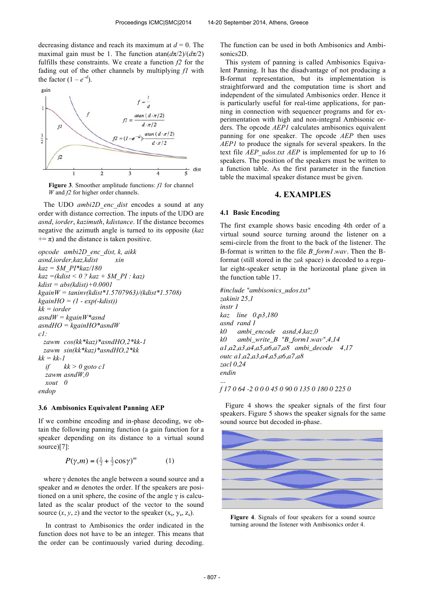decreasing distance and reach its maximum at  $d = 0$ . The maximal gain must be 1. The function atan $\frac{d\pi}{2}$ / $\frac{d\pi}{2}$ fulfills these constraints. We create a function *f2* for the fading out of the other channels by multiplying *f1* with the factor  $(1 - e^{-d})$ .



**Figure 3**. Smoother amplitude functions: *f1* for channel *W* and *f2* for higher order channels.

 The UDO *ambi2D\_enc\_dist* encodes a sound at any order with distance correction. The inputs of the UDO are *asnd*, *iorder*, *kazimuth*, *kdistance*. If the distance becomes negative the azimuth angle is turned to its opposite (*kaz*  $+= \pi$ ) and the distance is taken positive.

*opcode ambi2D\_enc\_dist, k, aikk asnd,iorder,kaz,kdist xin kaz = \$M\_PI\*kaz/180 kaz =(kdist < 0 ? kaz + \$M\_PI : kaz) kdist = abs(kdist)+0.0001 kgainW = taninv(kdist\*1.5707963)/(kdist\*1.5708) kgainHO = (1 - exp(-kdist)) kk = iorder asndW = kgainW\*asnd asndHO = kgainHO\*asndW c1: zawm cos(kk\*kaz)\*asndHO,2\*kk-1 zawm sin(kk\*kaz)\*asndHO,2\*kk kk = kk-1 if*  $kk > 0$  goto cl  *zawm asndW,0 xout 0 endop*

### **3.6 Ambisonics Equivalent Panning AEP**

If we combine encoding and in-phase decoding, we obtain the following panning function (a gain function for a speaker depending on its distance to a virtual sound source)[7]:

$$
P(\gamma,m) = \left(\frac{1}{2} + \frac{1}{2}\cos\gamma\right)^m \tag{1}
$$

where  $\gamma$  denotes the angle between a sound source and a speaker and *m* denotes the order. If the speakers are positioned on a unit sphere, the cosine of the angle γ is calculated as the scalar product of the vector to the sound source  $(x, y, z)$  and the vector to the speaker  $(x<sub>s</sub>, y<sub>s</sub>, z<sub>s</sub>)$ .

 In contrast to Ambisonics the order indicated in the function does not have to be an integer. This means that the order can be continuously varied during decoding.

The function can be used in both Ambisonics and Ambisonics2D.

 This system of panning is called Ambisonics Equivalent Panning. It has the disadvantage of not producing a B-format representation, but its implementation is straightforward and the computation time is short and independent of the simulated Ambisonics order. Hence it is particularly useful for real-time applications, for panning in connection with sequencer programs and for experimentation with high and non-integral Ambisonic orders. The opcode *AEP1* calculates ambisonics equivalent panning for one speaker. The opcode *AEP* then uses *AEP1* to produce the signals for several speakers. In the text file *AEP\_udos.txt AEP* is implemented for up to 16 speakers. The position of the speakers must be written to a function table. As the first parameter in the function table the maximal speaker distance must be given.

# **4. EXAMPLES**

### **4.1 Basic Encoding**

The first example shows basic encoding 4th order of a virtual sound source turning around the listener on a semi-circle from the front to the back of the listener. The B-format is written to the file *B\_form1.wav.* Then the Bformat (still stored in the *zak* space) is decoded to a regular eight-speaker setup in the horizontal plane given in the function table 17.

*#include "ambisonics\_udos.txt" zakinit 25,1 instr 1 kaz line 0,p3,180 asnd rand 1 k0 ambi\_encode asnd,4,kaz,0 k0 ambi\_write\_B "B\_form1.wav",4,14 a1,a2,a3,a4,a5,a6,a7,a8 ambi\_decode 4,17 outc a1,a2,a3,a4,a5,a6,a7,a8 zacl 0,24 endin ...*

### *f 17 0 64 -2 0 0 0 45 0 90 0 135 0 180 0 225 0*

 Figure 4 shows the speaker signals of the first four speakers. Figure 5 shows the speaker signals for the same sound source but decoded in-phase.



**Figure 4**. Signals of four speakers for a sound source turning around the listener with Ambisonics order 4.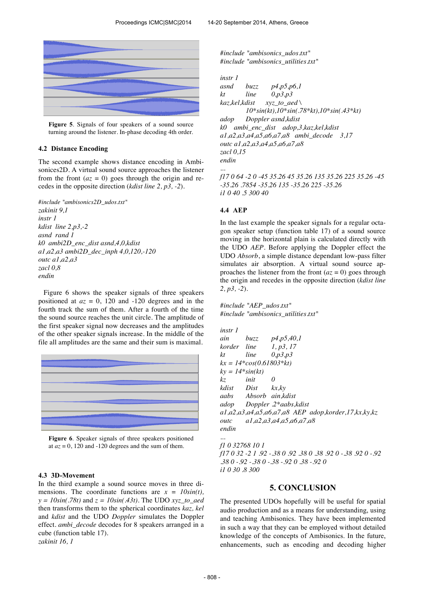

**Figure 5**. Signals of four speakers of a sound source turning around the listener. In-phase decoding 4th order.

## **4.2 Distance Encoding**

The second example shows distance encoding in Ambisonices2D. A virtual sound source approaches the listener from the front  $(az = 0)$  goes through the origin and recedes in the opposite direction (*kdist line 2, p3, -2*).

```
#include "ambisonics2D_udos.txt"
zakinit 9,1
instr 1 
kdist line 2,p3,-2
asnd rand 1
k0 ambi2D_enc_dist asnd,4,0,kdist
a1,a2,a3 ambi2D_dec_inph 4,0,120,-120
outc a1,a2,a3
zacl 0,8
endin
```
 Figure 6 shows the speaker signals of three speakers positioned at  $az = 0$ , 120 and -120 degrees and in the fourth track the sum of them. After a fourth of the time the sound source reaches the unit circle. The amplitude of the first speaker signal now decreases and the amplitudes of the other speaker signals increase. In the middle of the file all amplitudes are the same and their sum is maximal.



**Figure 6**. Speaker signals of three speakers positioned at  $az = 0$ , 120 and -120 degrees and the sum of them.

# **4.3 3D-Movement**

In the third example a sound source moves in three dimensions. The coordinate functions are  $x = I0\sin(t)$ ,  $y = 10\sin(.78t)$  and  $z = 10\sin(.43t)$ . The UDO *xyz* to aed then transforms them to the spherical coordinates *kaz, kel*  and *kdist* and the UDO *Doppler* simulates the Doppler effect. *ambi\_decode* decodes for 8 speakers arranged in a cube (function table 17). *zakinit 16, 1* 

*#include "ambisonics\_udos.txt" #include "ambisonics\_utilities.txt"*

*instr 1*

```
asnd buzz p4,p5,p6,1
kt line 0,p3,p3
kaz,kel,kdist xyz_to_aed \
        10*sin(kt),10*sin(.78*kt),10*sin(.43*kt)
adop Doppler asnd,kdist
k0 ambi_enc_dist adop,3,kaz,kel,kdist
a1,a2,a3,a4,a5,a6,a7,a8 ambi_decode 3,17
outc a1,a2,a3,a4,a5,a6,a7,a8
zacl 0,15
endin
...
f17 0 64 -2 0 -45 35.26 45 35.26 135 35.26 225 35.26 -45 
-35.26 .7854 -35.26 135 -35.26 225 -35.26
```
*i1 0 40 .5 300 40*

### **4.4 AEP**

In the last example the speaker signals for a regular octagon speaker setup (function table 17) of a sound source moving in the horizontal plain is calculated directly with the UDO *AEP*. Before applying the Doppler effect the UDO *Absorb*, a simple distance dependant low-pass filter simulates air absorption. A virtual sound source approaches the listener from the front  $(az = 0)$  goes through the origin and recedes in the opposite direction (*kdist line 2, p3, -2*).

*#include "AEP\_udos.txt" #include "ambisonics\_utilities.txt"*

*instr 1 ain buzz p4,p5,40,1 korder line 1, p3, 17 kt line 0,p3,p3 kx = 14\*cos(0.61803\*kt) ky = 14\*sin(kt) kz init 0 kdist Dist kx,ky aabs Absorb ain,kdist adop Doppler .2\*aabs,kdist a1,a2,a3,a4,a5,a6,a7,a8 AEP adop,korder,17,kx,ky,kz outc a1,a2,a3,a4,a5,a6,a7,a8 endin ...*

*f1 0 32768 10 1 f17 0 32 -2 1 .92 -.38 0 .92 .38 0 .38 .92 0 -.38 .92 0 -.92 .38 0 -.92 -.38 0 -.38 -.92 0 .38 -.92 0 i1 0 30 .8 300*

# **5. CONCLUSION**

The presented UDOs hopefully will be useful for spatial audio production and as a means for understanding, using and teaching Ambisonics. They have been implemented in such a way that they can be employed without detailed knowledge of the concepts of Ambisonics. In the future, enhancements, such as encoding and decoding higher